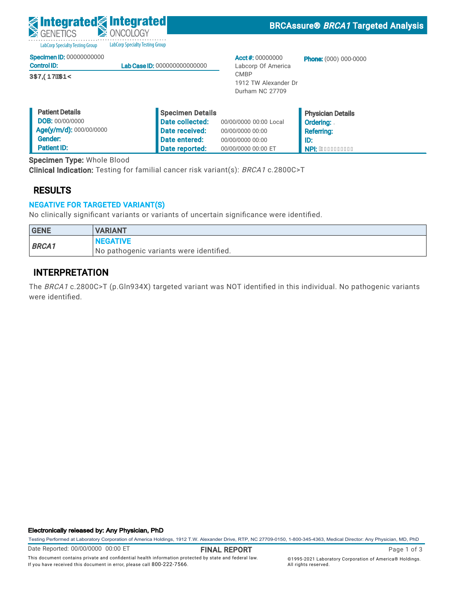| <b>S</b> integrated antegrated<br>GENETICS            | ONCOLOGY                                   |                                                        | <b>BRCAssure® BRCA1 Targeted Analysis</b>    |
|-------------------------------------------------------|--------------------------------------------|--------------------------------------------------------|----------------------------------------------|
| <b>LabCorp Specialty Testing Group</b>                | <b>LabCorp Specialty Testing Group</b>     |                                                        |                                              |
| <b>Specimen ID: 00000000000</b><br><b>Control ID:</b> | Lab Case ID: 000000000000000               | Acct #: $00000000$<br>Labcorp Of America               | <b>Phone:</b> (000) 000-0000                 |
| ÚŒVODÞVÉKDEPŸ                                         |                                            | <b>CMBP</b><br>1912 TW Alexander Dr<br>Durham NC 27709 |                                              |
| <b>Patient Details</b><br><b>DOB: 00/00/0000</b>      | Specimen Details<br><b>Date collected:</b> | 00/00/0000 00:00 Local                                 | <b>Physician Details</b><br><b>Ordering:</b> |

00/00/0000 00:00 00/00/0000 00:00 00/00/0000 00:00 ET

 Referring: ID:

NPI: AEEEEEEEEEE

The BRCA1 c.2800C>T (p.Gln934X) targeted variant was NOT identified in this individual. No pathogenic variants

 Date received: Date entered: Date reported:

No pathogenic variants were identified.

Clinical Indication: Testing for familial cancer risk variant(s): BRCA1 c.2800C>T

No clinically significant variants or variants of uncertain significance were identified.

#### Electronically released by: Any Physician, PhD

Testing Performed at Laboratory Corporation of America Holdings, 1912 T.W. Alexander Drive, RTP, NC 27709-0150, 1-800-345-4363, Medical Director: Any Physician, MD, PhD

Date Reported: 00/00/0000 00:00 ET

GENE VARIANT

INTERPRETATION

Specimen Type: Whole Blood

Age(y/m/d): 000/00/0000

NEGATIVE

NEGATIVE FOR TARGETED VARIANT(S)

BRCA1

RESULTS

 Gender: Patient ID:

were identified.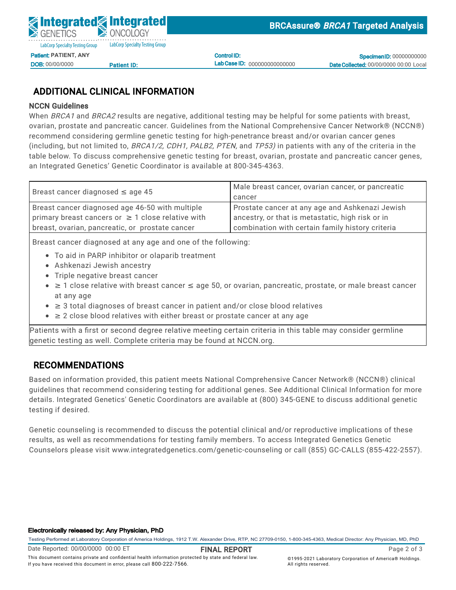Control ID: Lab Case ID: 000000000000000

**Specimen ID: 00000000000** Date Collected: 00/00/0000 00:00 Local

## ADDITIONAL CLINICAL INFORMATION

<u>Patient ID:</u>

### NCCN Guidelines

DOB: 00/00/0000

When *BRCA1* and *BRCA2* results are negative, additional testing may be helpful for some patients with breast, ovarian, prostate and pancreatic cancer. Guidelines from the National Comprehensive Cancer Network® (NCCN®)  $\frac{1}{2}$ ecommen<br>. (including, but not limited to, *BRCA1/2, CDH1, PALB2, PTEN,* and *TP53)* in patients with any of the criteria in the on caladimed from the right-hair lette testing for ingiliperietrance referre et<br>Fr recommend considering germline genetic testing for high-penetrance breast and/or ovarian cancer genes<br>. Specimen Type: Whole Blood table below. To discuss comprehensive genetic testing for breast, ovarian, prostate and pancreatic cancer genes, an Integrated Genetics' Genetic Coordinator is available at 800-345-4363.

| Breast cancer diagnosed $\leq$ age 45                  | Male breast cancer, ovarian cancer, or pancreatic |  |
|--------------------------------------------------------|---------------------------------------------------|--|
|                                                        | cancer                                            |  |
| Breast cancer diagnosed age 46-50 with multiple        | Prostate cancer at any age and Ashkenazi Jewish   |  |
| primary breast cancers or $\geq 1$ close relative with | ancestry, or that is metastatic, high risk or in  |  |
| breast, ovarian, pancreatic, or prostate cancer        | combination with certain family history criteria  |  |

Breast cancer diagnosed at any age and one of the following:

- To aid in PARP inhibitor or olaparib treatment
- Ashkenazi Jewish ancestry
- $\bullet$  Triple negative breast cancer
- ≥ 1 close relative with breast cancer ≤ age 50, or ovarian, pancreatic, prostate, or male breast cancer at any age
	- ≥ 3 total diagnoses of breast cancer in patient and/or close blood relatives
	- $\bullet$   $\geq$  2 close blood relatives with either breast or prostate cancer at any age

Patients with a first or second degree relative meeting certain criteria in this table may consider germline genetic testing as well. Complete criteria may be found at NCCN.org.

## RECOMMENDATIONS

Based on information provided, this patient meets National Comprehensive Cancer Network® (NCCN®) clinical guidelines that recommend considering testing for additional genes. See Additional Clinical Information for more details. Integrated Genetics' Genetic Coordinators are available at (800) 345-GENE to discuss additional genetic testing if desired.

Genetic counseling is recommended to discuss the potential clinical and/or reproductive implications of these results, as well as recommendations for testing family members. To access Integrated Genetics Genetic Counselors please visit www.integratedgenetics.com/genetic-counseling or call (855) GC-CALLS (855-422-2557).

#### Electronically released by: Any Physician, PhD

Testing Performed at Laboratory Corporation of America Holdings, 1912 T.W. Alexander Drive, RTP, NC 27709-0150, 1-800-345-4363, Medical Director: Any Physician, MD, PhD